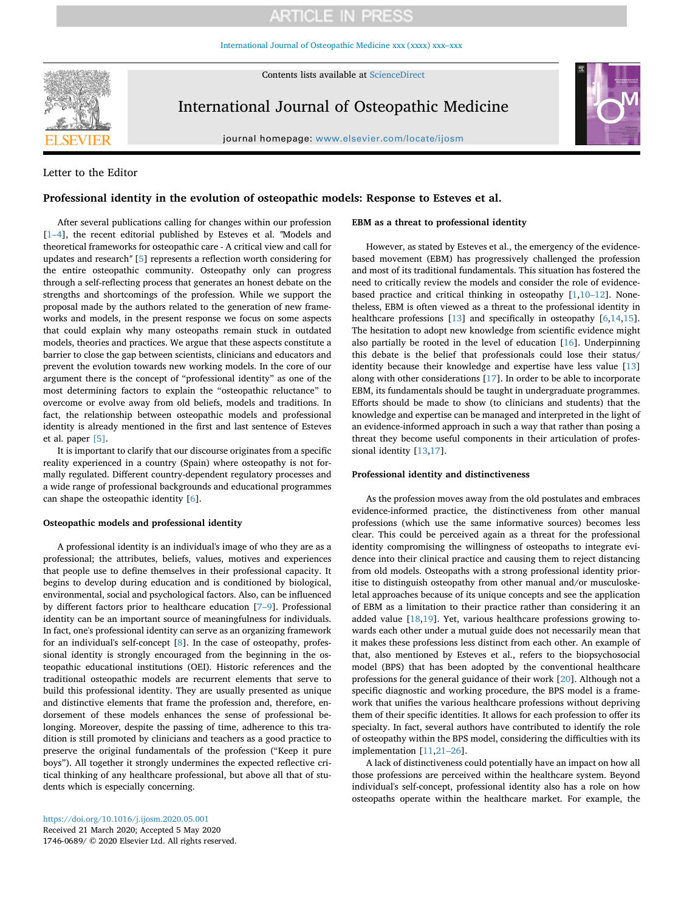# **ARTICLE IN PRESS**

[International Journal of Osteopathic Medicine xxx \(xxxx\) xxx–xxx](https://doi.org/10.1016/j.ijosm.2020.05.001)

Contents lists available at [ScienceDirect](http://www.sciencedirect.com/science/journal/17460689)



International Journal of Osteopathic Medicine

journal homepage: [www.elsevier.com/locate/ijosm](https://www.elsevier.com/locate/ijosm)



# Letter to the Editor

# **Professional identity in the evolution of osteopathic models: Response to Esteves et al.**

After several publications calling for changes within our profession [[1–4\]](#page-1-0), the recent editorial published by Esteves et al. *"*Models and theoretical frameworks for osteopathic care - A critical view and call for updates and research*"* [[5](#page-1-1)] represents a reflection worth considering for the entire osteopathic community. Osteopathy only can progress through a self-reflecting process that generates an honest debate on the strengths and shortcomings of the profession. While we support the proposal made by the authors related to the generation of new frameworks and models, in the present response we focus on some aspects that could explain why many osteopaths remain stuck in outdated models, theories and practices. We argue that these aspects constitute a barrier to close the gap between scientists, clinicians and educators and prevent the evolution towards new working models. In the core of our argument there is the concept of "professional identity" as one of the most determining factors to explain the "osteopathic reluctance" to overcome or evolve away from old beliefs, models and traditions. In fact, the relationship between osteopathic models and professional identity is already mentioned in the first and last sentence of Esteves et al. paper [\[5\]](#page-1-1).

It is important to clarify that our discourse originates from a specific reality experienced in a country (Spain) where osteopathy is not formally regulated. Different country-dependent regulatory processes and a wide range of professional backgrounds and educational programmes can shape the osteopathic identity [[6](#page-1-2)].

### **Osteopathic models and professional identity**

A professional identity is an individual's image of who they are as a professional; the attributes, beliefs, values, motives and experiences that people use to define themselves in their professional capacity. It begins to develop during education and is conditioned by biological, environmental, social and psychological factors. Also, can be influenced by different factors prior to healthcare education [\[7–9\]](#page-1-3). Professional identity can be an important source of meaningfulness for individuals. In fact, one's professional identity can serve as an organizing framework for an individual's self-concept [[8](#page-1-4)]. In the case of osteopathy, professional identity is strongly encouraged from the beginning in the osteopathic educational institutions (OEI). Historic references and the traditional osteopathic models are recurrent elements that serve to build this professional identity. They are usually presented as unique and distinctive elements that frame the profession and, therefore, endorsement of these models enhances the sense of professional belonging. Moreover, despite the passing of time, adherence to this tradition is still promoted by clinicians and teachers as a good practice to preserve the original fundamentals of the profession ("Keep it pure boys"). All together it strongly undermines the expected reflective critical thinking of any healthcare professional, but above all that of students which is especially concerning.

# **EBM as a threat to professional identity**

However, as stated by Esteves et al., the emergency of the evidencebased movement (EBM) has progressively challenged the profession and most of its traditional fundamentals. This situation has fostered the need to critically review the models and consider the role of evidencebased practice and critical thinking in osteopathy [\[1](#page-1-0)[,10–12](#page-1-5)]. Nonetheless, EBM is often viewed as a threat to the professional identity in healthcare professions [\[13](#page-1-6)] and specifically in osteopathy [\[6,](#page-1-2)[14,](#page-1-7)[15](#page-1-8)]. The hesitation to adopt new knowledge from scientific evidence might also partially be rooted in the level of education [\[16](#page-1-9)]. Underpinning this debate is the belief that professionals could lose their status/ identity because their knowledge and expertise have less value [\[13](#page-1-6)] along with other considerations [[17\]](#page-1-10). In order to be able to incorporate EBM, its fundamentals should be taught in undergraduate programmes. Efforts should be made to show (to clinicians and students) that the knowledge and expertise can be managed and interpreted in the light of an evidence-informed approach in such a way that rather than posing a threat they become useful components in their articulation of professional identity [[13,](#page-1-6)[17\]](#page-1-10).

### **Professional identity and distinctiveness**

As the profession moves away from the old postulates and embraces evidence-informed practice, the distinctiveness from other manual professions (which use the same informative sources) becomes less clear. This could be perceived again as a threat for the professional identity compromising the willingness of osteopaths to integrate evidence into their clinical practice and causing them to reject distancing from old models. Osteopaths with a strong professional identity prioritise to distinguish osteopathy from other manual and/or musculoskeletal approaches because of its unique concepts and see the application of EBM as a limitation to their practice rather than considering it an added value [\[18](#page-1-11)[,19](#page-1-12)]. Yet, various healthcare professions growing towards each other under a mutual guide does not necessarily mean that it makes these professions less distinct from each other. An example of that, also mentioned by Esteves et al., refers to the biopsychosocial model (BPS) that has been adopted by the conventional healthcare professions for the general guidance of their work [\[20](#page-1-13)]. Although not a specific diagnostic and working procedure, the BPS model is a framework that unifies the various healthcare professions without depriving them of their specific identities. It allows for each profession to offer its specialty. In fact, several authors have contributed to identify the role of osteopathy within the BPS model, considering the difficulties with its implementation [[11](#page-1-14),[21–26\]](#page-1-15).

A lack of distinctiveness could potentially have an impact on how all those professions are perceived within the healthcare system. Beyond individual's self-concept, professional identity also has a role on how osteopaths operate within the healthcare market. For example, the

<https://doi.org/10.1016/j.ijosm.2020.05.001> Received 21 March 2020; Accepted 5 May 2020 1746-0689/ © 2020 Elsevier Ltd. All rights reserved.